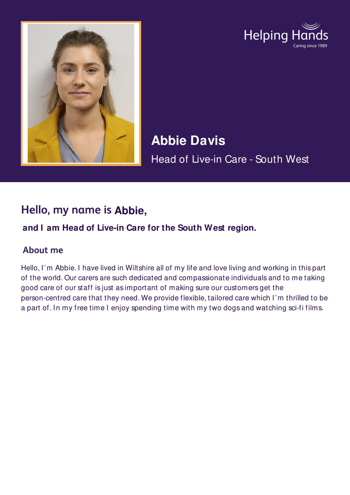



# **Abbie Davis** Head of Live-in Care - South West

## **Hello, my name is Abbie,**

#### **and I am Head of Live-in Care for the South West region.**

#### **About me**

Hello, I'm Abbie. I have lived in Wiltshire all of my life and love living and working in this part of the world. Our carers are such dedicated and compassionate individuals and to me taking good care of our staff is just as important of making sure our customers get the person-centred care that they need. We provide flexible, tailored care which I'm thrilled to be a part of. In my free time I enjoy spending time with my two dogs and watching sci-fi films.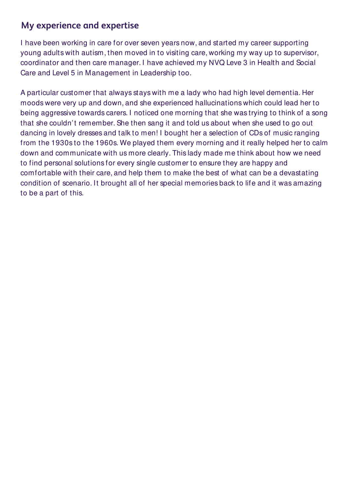#### **My experience and expertise**

I have been working in care for over seven years now, and started my career supporting young adults with autism, then moved in to visiting care, working my way up to supervisor, coordinator and then care manager. I have achieved my NVQ Leve 3 in Health and Social Care and Level 5 in Management in Leadership too.

A particular customer that always stays with me a lady who had high level dementia. Her moods were very up and down, and she experienced hallucinations which could lead her to being aggressive towards carers. I noticed one morning that she was trying to think of a song that she couldn't remember. She then sang it and told us about when she used to go out dancing in lovely dresses and talk to men! I bought her a selection of CDs of music ranging from the 1930s to the 1960s. We played them every morning and it really helped her to calm down and communicate with us more clearly. This lady made me think about how we need to find personal solutions for every single customer to ensure they are happy and comfortable with their care, and help them to make the best of what can be a devastating condition of scenario. It brought all of her special memories back to life and it was amazing to be a part of this.